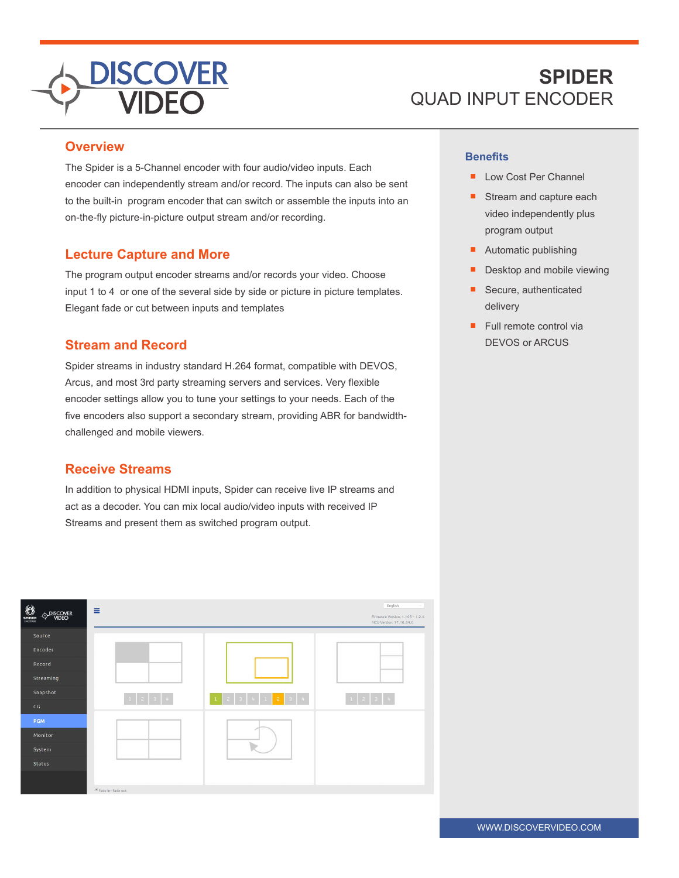

# **SPIDER** QUAD INPUT ENCODER

#### **Overview**

The Spider is a 5-Channel encoder with four audio/video inputs. Each encoder can independently stream and/or record. The inputs can also be sent to the built-in program encoder that can switch or assemble the inputs into an on-the-fly picture-in-picture output stream and/or recording.

## **Lecture Capture and More**

The program output encoder streams and/or records your video. Choose input 1 to 4 or one of the several side by side or picture in picture templates. Elegant fade or cut between inputs and templates

## **Stream and Record**

Spider streams in industry standard H.264 format, compatible with DEVOS, Arcus, and most 3rd party streaming servers and services. Very flexible encoder settings allow you to tune your settings to your needs. Each of the five encoders also support a secondary stream, providing ABR for bandwidthchallenged and mobile viewers.

## **Receive Streams**

In addition to physical HDMI inputs, Spider can receive live IP streams and act as a decoder. You can mix local audio/video inputs with received IP Streams and present them as switched program output.



#### **Benefits**

- Low Cost Per Channel
- Stream and capture each video independently plus program output
- Automatic publishing
- Desktop and mobile viewing
- Secure, authenticated delivery
- Full remote control via DEVOS or ARCUS